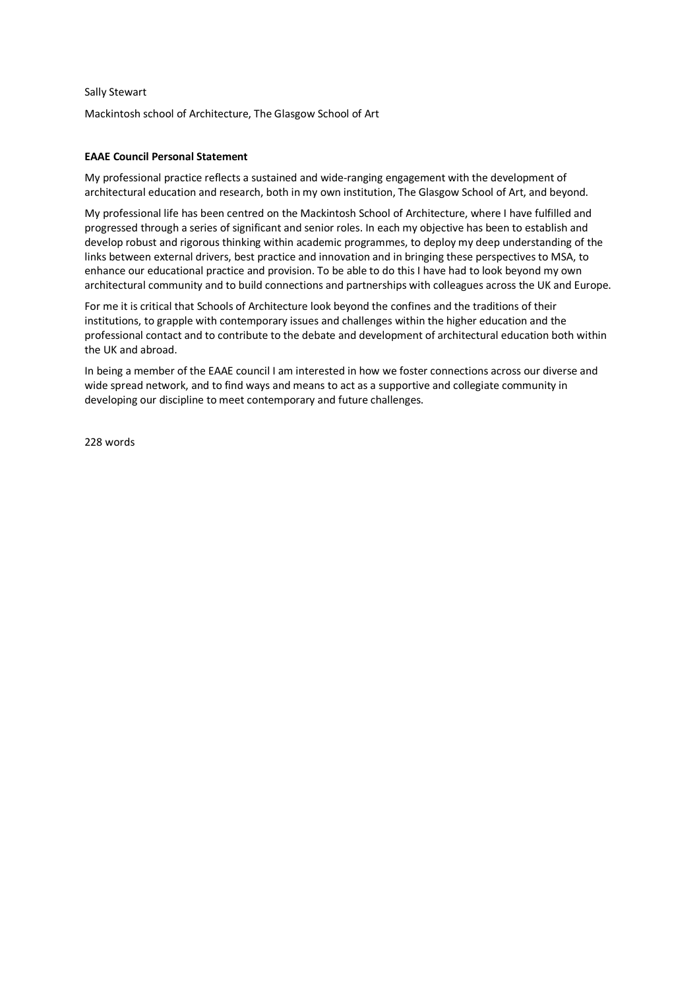## Sally Stewart

Mackintosh school of Architecture, The Glasgow School of Art

## **EAAE Council Personal Statement**

My professional practice reflects a sustained and wide-ranging engagement with the development of architectural education and research, both in my own institution, The Glasgow School of Art, and beyond.

My professional life has been centred on the Mackintosh School of Architecture, where I have fulfilled and progressed through a series of significant and senior roles. In each my objective has been to establish and develop robust and rigorous thinking within academic programmes, to deploy my deep understanding of the links between external drivers, best practice and innovation and in bringing these perspectives to MSA, to enhance our educational practice and provision. To be able to do this I have had to look beyond my own architectural community and to build connections and partnerships with colleagues across the UK and Europe.

For me it is critical that Schools of Architecture look beyond the confines and the traditions of their institutions, to grapple with contemporary issues and challenges within the higher education and the professional contact and to contribute to the debate and development of architectural education both within the UK and abroad.

In being a member of the EAAE council I am interested in how we foster connections across our diverse and wide spread network, and to find ways and means to act as a supportive and collegiate community in developing our discipline to meet contemporary and future challenges.

228 words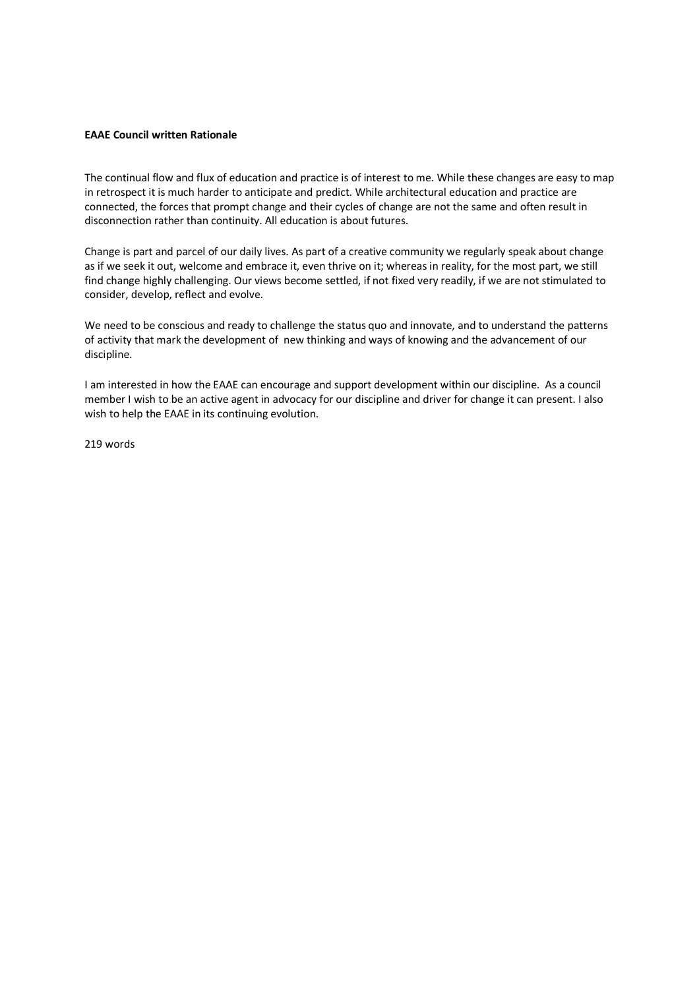## **EAAE Council written Rationale**

The continual flow and flux of education and practice is of interest to me. While these changes are easy to map in retrospect it is much harder to anticipate and predict. While architectural education and practice are connected, the forces that prompt change and their cycles of change are not the same and often result in disconnection rather than continuity. All education is about futures.

Change is part and parcel of our daily lives. As part of a creative community we regularly speak about change as if we seek it out, welcome and embrace it, even thrive on it; whereas in reality, for the most part, we still find change highly challenging. Our views become settled, if not fixed very readily, if we are not stimulated to consider, develop, reflect and evolve.

We need to be conscious and ready to challenge the status quo and innovate, and to understand the patterns of activity that mark the development of new thinking and ways of knowing and the advancement of our discipline.

I am interested in how the EAAE can encourage and support development within our discipline. As a council member I wish to be an active agent in advocacy for our discipline and driver for change it can present. I also wish to help the EAAE in its continuing evolution.

219 words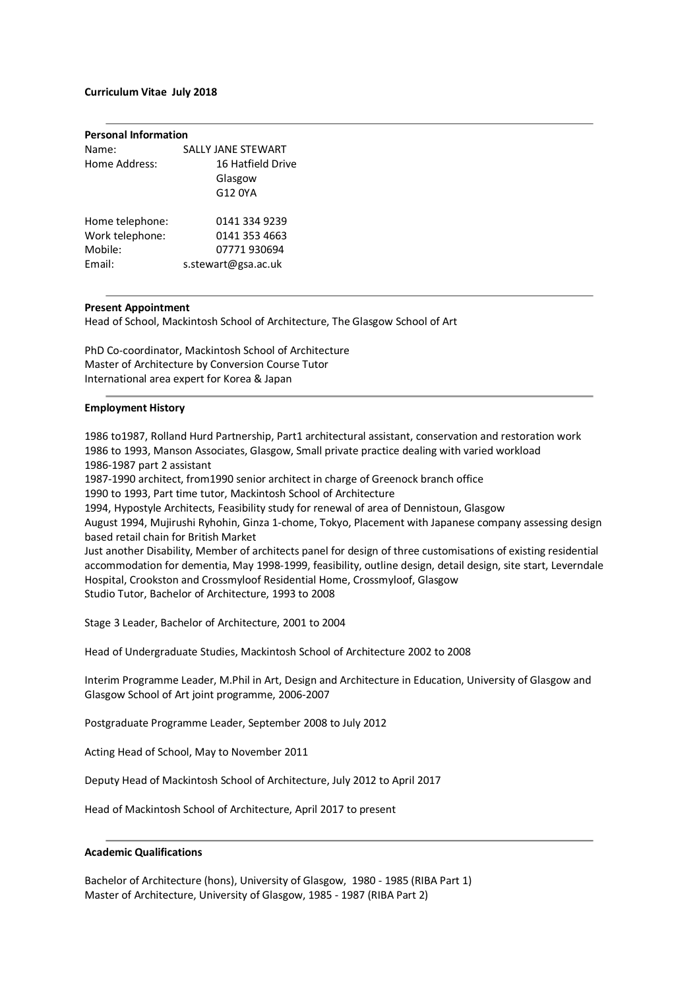## **Curriculum Vitae July 2018**

| <b>Personal Information</b> |                     |  |
|-----------------------------|---------------------|--|
| Name:                       | SALLY JANE STEWART  |  |
| Home Address:               | 16 Hatfield Drive   |  |
|                             | Glasgow             |  |
|                             | G12 0YA             |  |
|                             |                     |  |
| Home telephone:             | 0141 334 9239       |  |
| Work telephone:             | 0141 353 4663       |  |
| Mobile:                     | 07771 930694        |  |
| Email:                      | s.stewart@gsa.ac.uk |  |
|                             |                     |  |

## **Present Appointment**

Head of School, Mackintosh School of Architecture, The Glasgow School of Art

PhD Co-coordinator, Mackintosh School of Architecture Master of Architecture by Conversion Course Tutor International area expert for Korea & Japan

#### **Employment History**

1986 to1987, Rolland Hurd Partnership, Part1 architectural assistant, conservation and restoration work 1986 to 1993, Manson Associates, Glasgow, Small private practice dealing with varied workload 1986-1987 part 2 assistant

1987-1990 architect, from1990 senior architect in charge of Greenock branch office

1990 to 1993, Part time tutor, Mackintosh School of Architecture

1994, Hypostyle Architects, Feasibility study for renewal of area of Dennistoun, Glasgow

August 1994, Mujirushi Ryhohin, Ginza 1-chome, Tokyo, Placement with Japanese company assessing design based retail chain for British Market

Just another Disability, Member of architects panel for design of three customisations of existing residential accommodation for dementia, May 1998-1999, feasibility, outline design, detail design, site start, Leverndale Hospital, Crookston and Crossmyloof Residential Home, Crossmyloof, Glasgow Studio Tutor, Bachelor of Architecture, 1993 to 2008

Stage 3 Leader, Bachelor of Architecture, 2001 to 2004

Head of Undergraduate Studies, Mackintosh School of Architecture 2002 to 2008

Interim Programme Leader, M.Phil in Art, Design and Architecture in Education, University of Glasgow and Glasgow School of Art joint programme, 2006-2007

Postgraduate Programme Leader, September 2008 to July 2012

Acting Head of School, May to November 2011

Deputy Head of Mackintosh School of Architecture, July 2012 to April 2017

Head of Mackintosh School of Architecture, April 2017 to present

# **Academic Qualifications**

Bachelor of Architecture (hons), University of Glasgow, 1980 - 1985 (RIBA Part 1) Master of Architecture, University of Glasgow, 1985 - 1987 (RIBA Part 2)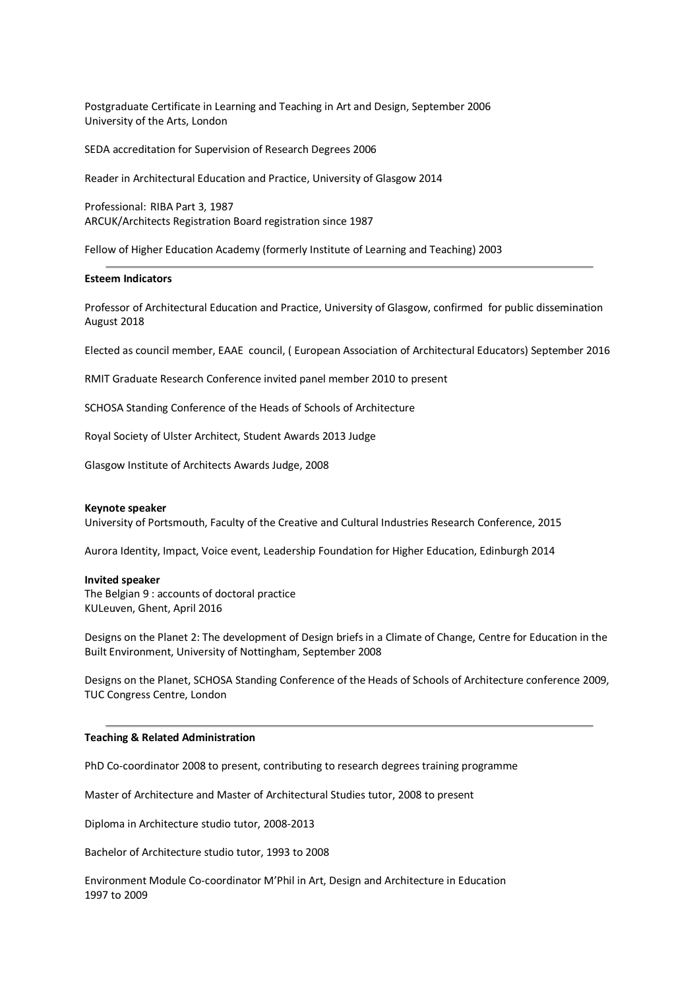Postgraduate Certificate in Learning and Teaching in Art and Design, September 2006 University of the Arts, London

SEDA accreditation for Supervision of Research Degrees 2006

Reader in Architectural Education and Practice, University of Glasgow 2014

Professional: RIBA Part 3, 1987 ARCUK/Architects Registration Board registration since 1987

Fellow of Higher Education Academy (formerly Institute of Learning and Teaching) 2003

## **Esteem Indicators**

Professor of Architectural Education and Practice, University of Glasgow, confirmed for public dissemination August 2018

Elected as council member, EAAE council, ( European Association of Architectural Educators) September 2016

RMIT Graduate Research Conference invited panel member 2010 to present

SCHOSA Standing Conference of the Heads of Schools of Architecture

Royal Society of Ulster Architect, Student Awards 2013 Judge

Glasgow Institute of Architects Awards Judge, 2008

#### **Keynote speaker**

University of Portsmouth, Faculty of the Creative and Cultural Industries Research Conference, 2015

Aurora Identity, Impact, Voice event, Leadership Foundation for Higher Education, Edinburgh 2014

#### **Invited speaker**

The Belgian 9 : accounts of doctoral practice KULeuven, Ghent, April 2016

Designs on the Planet 2: The development of Design briefs in a Climate of Change, Centre for Education in the Built Environment, University of Nottingham, September 2008

Designs on the Planet, SCHOSA Standing Conference of the Heads of Schools of Architecture conference 2009, TUC Congress Centre, London

#### **Teaching & Related Administration**

PhD Co-coordinator 2008 to present, contributing to research degrees training programme

Master of Architecture and Master of Architectural Studies tutor, 2008 to present

Diploma in Architecture studio tutor, 2008-2013

Bachelor of Architecture studio tutor, 1993 to 2008

Environment Module Co-coordinator M'Phil in Art, Design and Architecture in Education 1997 to 2009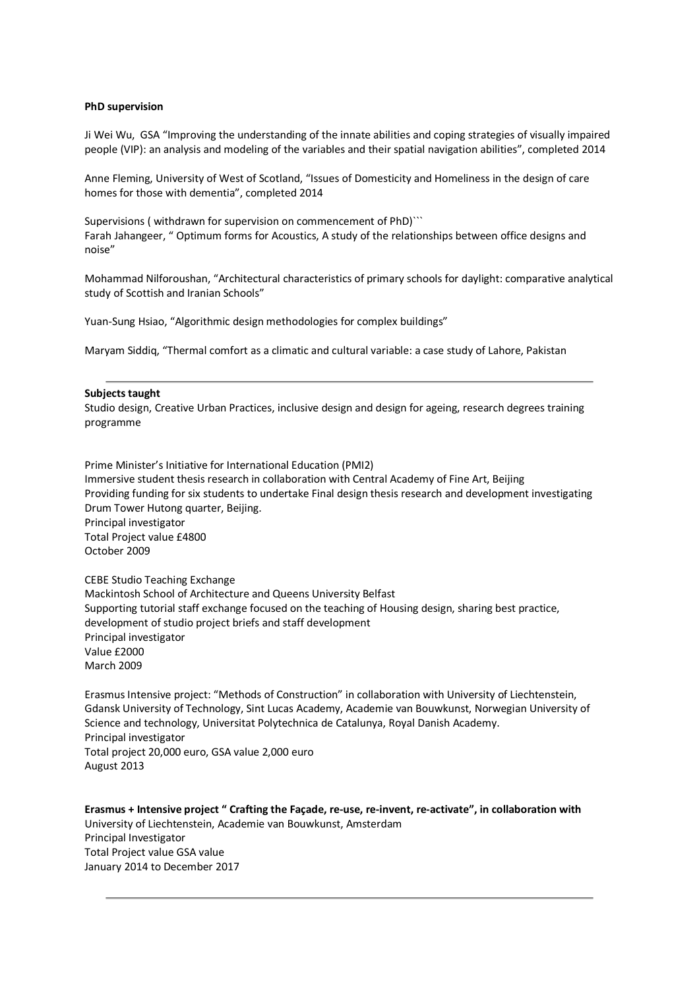#### **PhD supervision**

Ji Wei Wu, GSA "Improving the understanding of the innate abilities and coping strategies of visually impaired people (VIP): an analysis and modeling of the variables and their spatial navigation abilities", completed 2014

Anne Fleming, University of West of Scotland, "Issues of Domesticity and Homeliness in the design of care homes for those with dementia", completed 2014

Supervisions ( withdrawn for supervision on commencement of PhD)``` Farah Jahangeer, " Optimum forms for Acoustics, A study of the relationships between office designs and noise"

Mohammad Nilforoushan, "Architectural characteristics of primary schools for daylight: comparative analytical study of Scottish and Iranian Schools"

Yuan-Sung Hsiao, "Algorithmic design methodologies for complex buildings"

Maryam Siddiq, "Thermal comfort as a climatic and cultural variable: a case study of Lahore, Pakistan

#### **Subjects taught**

Studio design, Creative Urban Practices, inclusive design and design for ageing, research degrees training programme

Prime Minister's Initiative for International Education (PMI2) Immersive student thesis research in collaboration with Central Academy of Fine Art, Beijing Providing funding for six students to undertake Final design thesis research and development investigating Drum Tower Hutong quarter, Beijing. Principal investigator Total Project value £4800 October 2009

CEBE Studio Teaching Exchange Mackintosh School of Architecture and Queens University Belfast Supporting tutorial staff exchange focused on the teaching of Housing design, sharing best practice, development of studio project briefs and staff development Principal investigator Value £2000 March 2009

Erasmus Intensive project: "Methods of Construction" in collaboration with University of Liechtenstein, Gdansk University of Technology, Sint Lucas Academy, Academie van Bouwkunst, Norwegian University of Science and technology, Universitat Polytechnica de Catalunya, Royal Danish Academy. Principal investigator Total project 20,000 euro, GSA value 2,000 euro August 2013

**Erasmus + Intensive project " Crafting the Façade, re-use, re-invent, re-activate", in collaboration with**  University of Liechtenstein, Academie van Bouwkunst, Amsterdam Principal Investigator Total Project value GSA value January 2014 to December 2017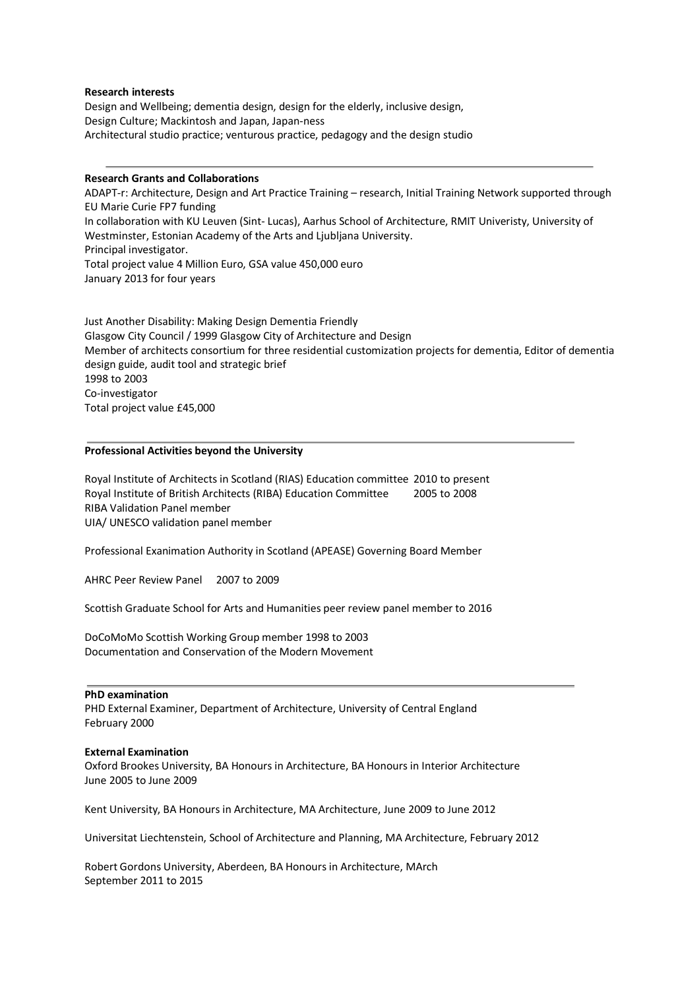#### **Research interests**

Design and Wellbeing; dementia design, design for the elderly, inclusive design, Design Culture; Mackintosh and Japan, Japan-ness Architectural studio practice; venturous practice, pedagogy and the design studio

#### **Research Grants and Collaborations**

ADAPT-r: Architecture, Design and Art Practice Training – research, Initial Training Network supported through EU Marie Curie FP7 funding

In collaboration with KU Leuven (Sint- Lucas), Aarhus School of Architecture, RMIT Univeristy, University of Westminster, Estonian Academy of the Arts and Ljubljana University. Principal investigator. Total project value 4 Million Euro, GSA value 450,000 euro

January 2013 for four years

Just Another Disability: Making Design Dementia Friendly Glasgow City Council / 1999 Glasgow City of Architecture and Design Member of architects consortium for three residential customization projects for dementia, Editor of dementia design guide, audit tool and strategic brief 1998 to 2003 Co-investigator Total project value £45,000

#### **Professional Activities beyond the University**

Royal Institute of Architects in Scotland (RIAS) Education committee 2010 to present Royal Institute of British Architects (RIBA) Education Committee 2005 to 2008 RIBA Validation Panel member UIA/ UNESCO validation panel member

Professional Exanimation Authority in Scotland (APEASE) Governing Board Member

AHRC Peer Review Panel 2007 to 2009

Scottish Graduate School for Arts and Humanities peer review panel member to 2016

DoCoMoMo Scottish Working Group member 1998 to 2003 Documentation and Conservation of the Modern Movement

#### **PhD examination**

PHD External Examiner, Department of Architecture, University of Central England February 2000

#### **External Examination**

Oxford Brookes University, BA Honours in Architecture, BA Honours in Interior Architecture June 2005 to June 2009

Kent University, BA Honours in Architecture, MA Architecture, June 2009 to June 2012

Universitat Liechtenstein, School of Architecture and Planning, MA Architecture, February 2012

Robert Gordons University, Aberdeen, BA Honours in Architecture, MArch September 2011 to 2015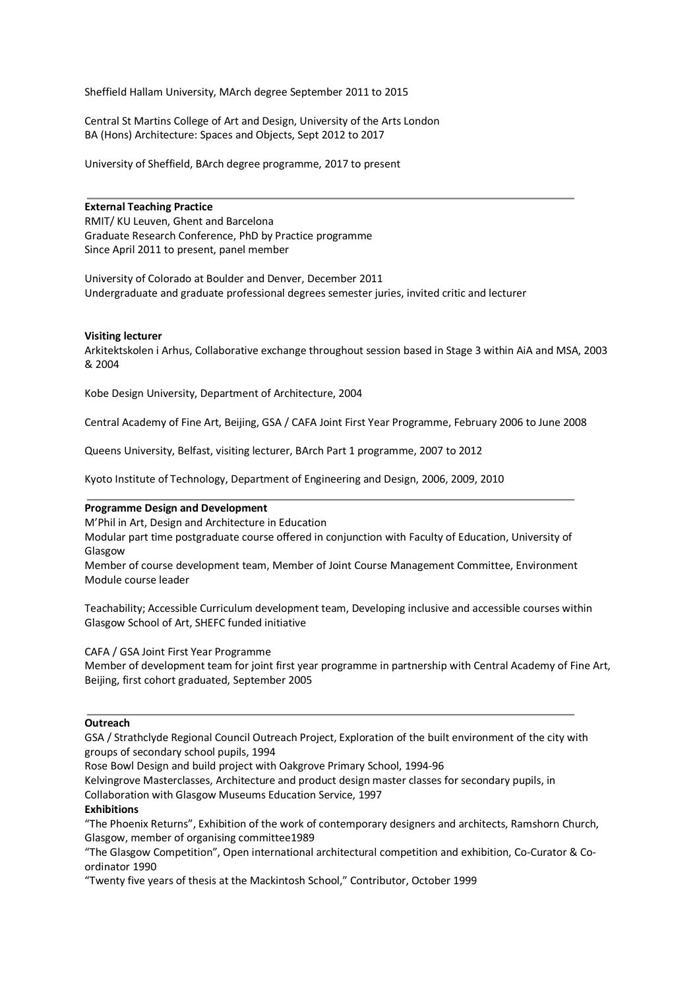Sheffield Hallam University, MArch degree September 2011 to 2015

Central St Martins College of Art and Design, University of the Arts London BA (Hons) Architecture: Spaces and Objects, Sept 2012 to 2017

University of Sheffield, BArch degree programme, 2017 to present

# **External Teaching Practice**

RMIT/ KU Leuven, Ghent and Barcelona Graduate Research Conference, PhD by Practice programme Since April 2011 to present, panel member

University of Colorado at Boulder and Denver, December 2011 Undergraduate and graduate professional degrees semester juries, invited critic and lecturer

## **Visiting lecturer**

Arkitektskolen i Arhus, Collaborative exchange throughout session based in Stage 3 within AiA and MSA, 2003 & 2004

Kobe Design University, Department of Architecture, 2004

Central Academy of Fine Art, Beijing, GSA / CAFA Joint First Year Programme, February 2006 to June 2008

Queens University, Belfast, visiting lecturer, BArch Part 1 programme, 2007 to 2012

Kyoto Institute of Technology, Department of Engineering and Design, 2006, 2009, 2010

# **Programme Design and Development**

M'Phil in Art, Design and Architecture in Education

Modular part time postgraduate course offered in conjunction with Faculty of Education, University of Glasgow

Member of course development team, Member of Joint Course Management Committee, Environment Module course leader

Teachability; Accessible Curriculum development team, Developing inclusive and accessible courses within Glasgow School of Art, SHEFC funded initiative

CAFA / GSA Joint First Year Programme

Member of development team for joint first year programme in partnership with Central Academy of Fine Art, Beijing, first cohort graduated, September 2005

#### **Outreach**

GSA / Strathclyde Regional Council Outreach Project, Exploration of the built environment of the city with groups of secondary school pupils, 1994

Rose Bowl Design and build project with Oakgrove Primary School, 1994-96

Kelvingrove Masterclasses, Architecture and product design master classes for secondary pupils, in Collaboration with Glasgow Museums Education Service, 1997

#### **Exhibitions**

"The Phoenix Returns", Exhibition of the work of contemporary designers and architects, Ramshorn Church, Glasgow, member of organising committee1989

"The Glasgow Competition", Open international architectural competition and exhibition, Co-Curator & Coordinator 1990

"Twenty five years of thesis at the Mackintosh School," Contributor, October 1999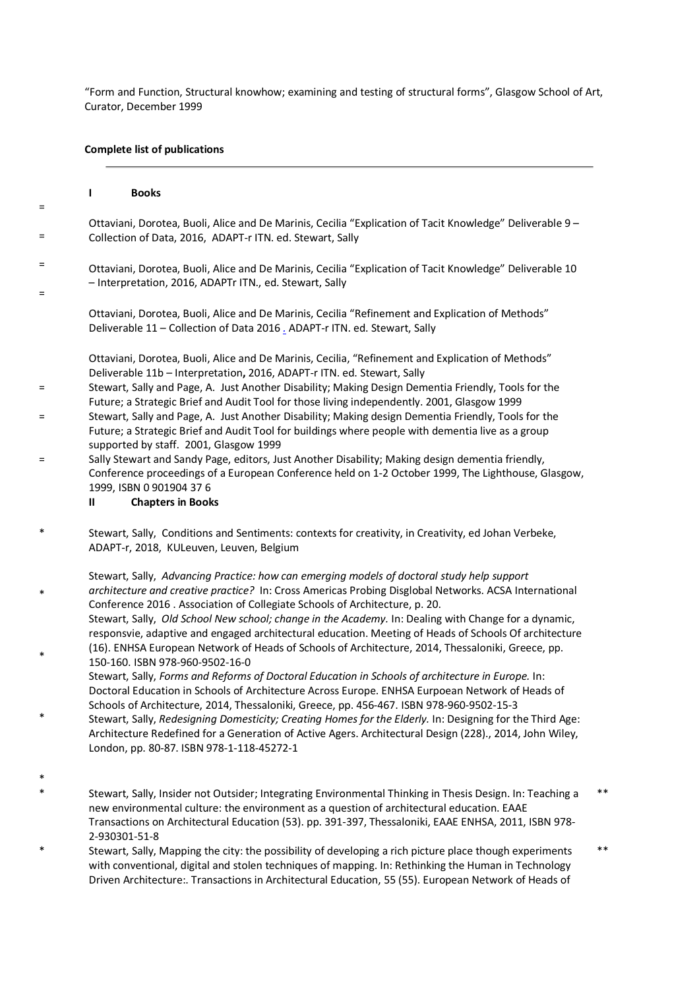"Form and Function, Structural knowhow; examining and testing of structural forms", Glasgow School of Art, Curator, December 1999

# **Complete list of publications**

|          |              | <b>Books</b>                                                                                                                                                                                                                                                                       |
|----------|--------------|------------------------------------------------------------------------------------------------------------------------------------------------------------------------------------------------------------------------------------------------------------------------------------|
| $=$      |              |                                                                                                                                                                                                                                                                                    |
| $=$      |              | Ottaviani, Dorotea, Buoli, Alice and De Marinis, Cecilia "Explication of Tacit Knowledge" Deliverable 9 -<br>Collection of Data, 2016, ADAPT-r ITN. ed. Stewart, Sally                                                                                                             |
| $=$<br>= |              | Ottaviani, Dorotea, Buoli, Alice and De Marinis, Cecilia "Explication of Tacit Knowledge" Deliverable 10<br>- Interpretation, 2016, ADAPTr ITN., ed. Stewart, Sally                                                                                                                |
|          |              | Ottaviani, Dorotea, Buoli, Alice and De Marinis, Cecilia "Refinement and Explication of Methods"<br>Deliverable 11 - Collection of Data 2016 . ADAPT-r ITN. ed. Stewart, Sally                                                                                                     |
|          |              | Ottaviani, Dorotea, Buoli, Alice and De Marinis, Cecilia, "Refinement and Explication of Methods"<br>Deliverable 11b - Interpretation, 2016, ADAPT-r ITN. ed. Stewart, Sally                                                                                                       |
| $=$      |              | Stewart, Sally and Page, A. Just Another Disability; Making Design Dementia Friendly, Tools for the<br>Future; a Strategic Brief and Audit Tool for those living independently. 2001, Glasgow 1999                                                                                 |
| =        |              | Stewart, Sally and Page, A. Just Another Disability; Making design Dementia Friendly, Tools for the<br>Future; a Strategic Brief and Audit Tool for buildings where people with dementia live as a group<br>supported by staff. 2001, Glasgow 1999                                 |
| $=$      | $\mathbf{u}$ | Sally Stewart and Sandy Page, editors, Just Another Disability; Making design dementia friendly,<br>Conference proceedings of a European Conference held on 1-2 October 1999, The Lighthouse, Glasgow,<br>1999, ISBN 0 901904 376<br><b>Chapters in Books</b>                      |
| $\ast$   |              | Stewart, Sally, Conditions and Sentiments: contexts for creativity, in Creativity, ed Johan Verbeke,<br>ADAPT-r, 2018, KULeuven, Leuven, Belgium                                                                                                                                   |
| *        |              | Stewart, Sally, Advancing Practice: how can emerging models of doctoral study help support<br>architecture and creative practice? In: Cross Americas Probing Disglobal Networks. ACSA International<br>Conference 2016 . Association of Collegiate Schools of Architecture, p. 20. |

Stewart, Sally, *Old School New school; change in the Academy.* In: Dealing with Change for a dynamic, responsvie, adaptive and engaged architectural education. Meeting of Heads of Schools Of architecture (16). ENHSA European Network of Heads of Schools of Architecture, 2014, Thessaloniki, Greece, pp. 150-160. ISBN 978-960-9502-16-0

Stewart, Sally, *Forms and Reforms of Doctoral Education in Schools of architecture in Europe.* In: Doctoral Education in Schools of Architecture Across Europe. ENHSA Eurpoean Network of Heads of Schools of Architecture, 2014, Thessaloniki, Greece, pp. 456-467. ISBN 978-960-9502-15-3

- \* Stewart, Sally, *Redesigning Domesticity; Creating Homes for the Elderly.* In: Designing for the Third Age: Architecture Redefined for a Generation of Active Agers. Architectural Design (228)., 2014, John Wiley, London, pp. 80-87. ISBN 978-1-118-45272-1
- \*

\*

- \* Stewart, Sally, Insider not Outsider; Integrating Environmental Thinking in Thesis Design. In: Teaching a new environmental culture: the environment as a question of architectural education. EAAE Transactions on Architectural Education (53). pp. 391-397, Thessaloniki, EAAE ENHSA, 2011, ISBN 978- 2-930301-51-8 \*\*
- \* Stewart, Sally, Mapping the city: the possibility of developing a rich picture place though experiments with conventional, digital and stolen techniques of mapping. In: Rethinking the Human in Technology Driven Architecture:. Transactions in Architectural Education, 55 (55). European Network of Heads of \*\*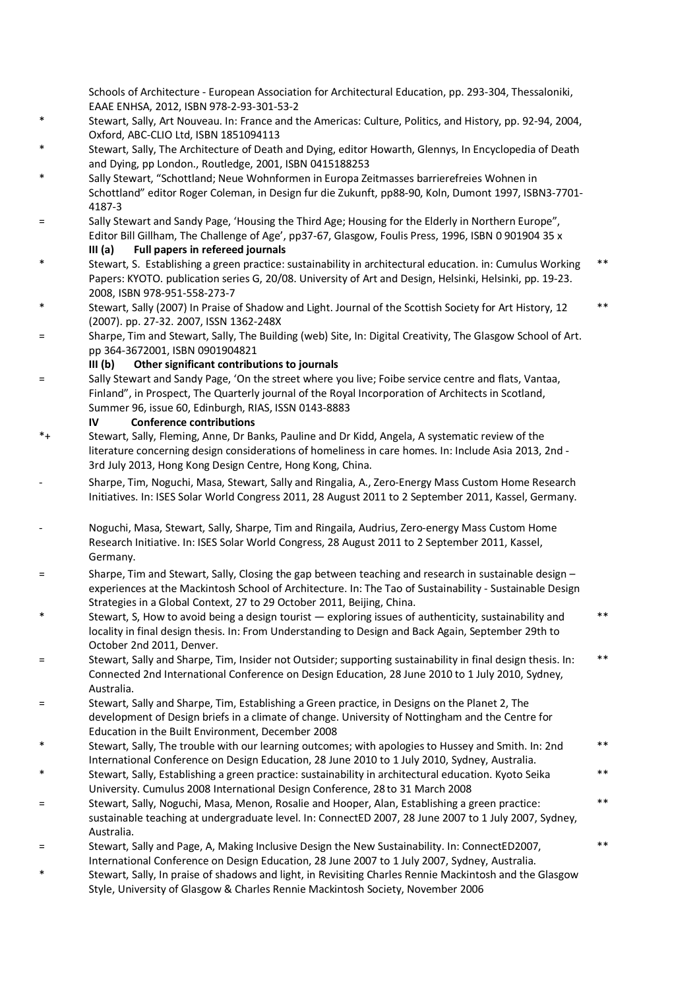Schools of Architecture - European Association for Architectural Education, pp. 293-304, Thessaloniki, EAAE ENHSA, 2012, ISBN 978-2-93-301-53-2

- \* Stewart, Sally, Art Nouveau. In: France and the Americas: Culture, Politics, and History, pp. 92-94, 2004, Oxford, ABC-CLIO Ltd, ISBN 1851094113
- Stewart, Sally, The Architecture of Death and Dying, editor Howarth, Glennys, In Encyclopedia of Death and Dying, pp London., Routledge, 2001, ISBN 0415188253
- Sally Stewart, "Schottland; Neue Wohnformen in Europa Zeitmasses barrierefreies Wohnen in Schottland" editor Roger Coleman, in Design fur die Zukunft, pp88-90, Koln, Dumont 1997, ISBN3-7701- 4187-3
- = Sally Stewart and Sandy Page, 'Housing the Third Age; Housing for the Elderly in Northern Europe", Editor Bill Gillham, The Challenge of Age', pp37-67, Glasgow, Foulis Press, 1996, ISBN 0 901904 35 x
	- **III (a) Full papers in refereed journals**
	- Stewart, S. Establishing a green practice: sustainability in architectural education. in: Cumulus Working Papers: KYOTO. publication series G, 20/08. University of Art and Design, Helsinki, Helsinki, pp. 19-23. 2008, ISBN 978-951-558-273-7 \*\*
- Stewart, Sally (2007) In Praise of Shadow and Light. Journal of the Scottish Society for Art History, 12 (2007). pp. 27-32. 2007, ISSN 1362-248X \*\*
- = Sharpe, Tim and Stewart, Sally, The Building (web) Site, In: Digital Creativity, The Glasgow School of Art. pp 364-3672001, ISBN 0901904821

# **III (b) Other significant contributions to journals**

= Sally Stewart and Sandy Page, 'On the street where you live; Foibe service centre and flats, Vantaa, Finland", in Prospect, The Quarterly journal of the Royal Incorporation of Architects in Scotland, Summer 96, issue 60, Edinburgh, RIAS, ISSN 0143-8883

# **IV Conference contributions**

- \*+ Stewart, Sally, Fleming, Anne, Dr Banks, Pauline and Dr Kidd, Angela, A systematic review of the literature concerning design considerations of homeliness in care homes. In: Include Asia 2013, 2nd - 3rd July 2013, Hong Kong Design Centre, Hong Kong, China.
- Sharpe, Tim, Noguchi, Masa, Stewart, Sally and Ringalia, A., Zero-Energy Mass Custom Home Research Initiatives. In: ISES Solar World Congress 2011, 28 August 2011 to 2 September 2011, Kassel, Germany.
- Noguchi, Masa, Stewart, Sally, Sharpe, Tim and Ringaila, Audrius, Zero-energy Mass Custom Home Research Initiative. In: ISES Solar World Congress, 28 August 2011 to 2 September 2011, Kassel, Germany.
- = Sharpe, Tim and Stewart, Sally, Closing the gap between teaching and research in sustainable design experiences at the Mackintosh School of Architecture. In: The Tao of Sustainability - Sustainable Design Strategies in a Global Context, 27 to 29 October 2011, Beijing, China.
- \* Stewart, S, How to avoid being a design tourist exploring issues of authenticity, sustainability and locality in final design thesis. In: From Understanding to Design and Back Again, September 29th to October 2nd 2011, Denver. \*\*
- = Stewart, Sally and Sharpe, Tim, Insider not Outsider; supporting sustainability in final design thesis. In: Connected 2nd International Conference on Design Education, 28 June 2010 to 1 July 2010, Sydney, Australia. \*\*
- = Stewart, Sally and Sharpe, Tim, Establishing a Green practice, in Designs on the Planet 2, The development of Design briefs in a climate of change. University of Nottingham and the Centre for Education in the Built Environment, December 2008
- Stewart, Sally, The trouble with our learning outcomes; with apologies to Hussey and Smith. In: 2nd International Conference on Design Education, 28 June 2010 to 1 July 2010, Sydney, Australia. \*\*

\*\*

\*\*

\*\*

- Stewart, Sally, Establishing a green practice: sustainability in architectural education. Kyoto Seika University. Cumulus 2008 International Design Conference, 28 to 31 March 2008
- = Stewart, Sally, Noguchi, Masa, Menon, Rosalie and Hooper, Alan, Establishing a green practice: sustainable teaching at undergraduate level. In: ConnectED 2007, 28 June 2007 to 1 July 2007, Sydney, Australia.
- = Stewart, Sally and Page, A, Making Inclusive Design the New Sustainability. In: ConnectED2007, International Conference on Design Education, 28 June 2007 to 1 July 2007, Sydney, Australia.
- \* Stewart, Sally, In praise of shadows and light, in Revisiting Charles Rennie Mackintosh and the Glasgow Style, University of Glasgow & Charles Rennie Mackintosh Society, November 2006